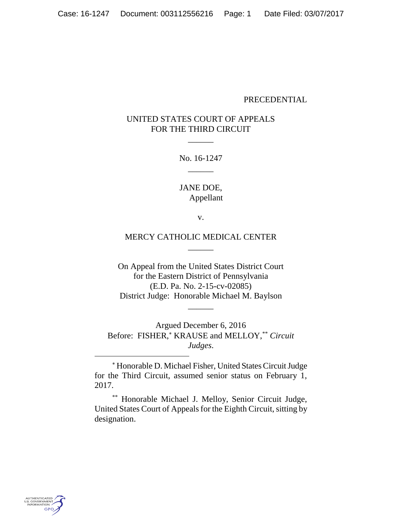## PRECEDENTIAL

# UNITED STATES COURT OF APPEALS FOR THE THIRD CIRCUIT

 $\overline{\phantom{a}}$ 

No. 16-1247  $\overline{\phantom{a}}$ 

JANE DOE, Appellant

v.

## MERCY CATHOLIC MEDICAL CENTER  $\overline{\phantom{a}}$

On Appeal from the United States District Court for the Eastern District of Pennsylvania (E.D. Pa. No. 2-15-cv-02085) District Judge: Honorable Michael M. Baylson

 $\overline{\phantom{a}}$ 

Argued December 6, 2016 Before: FISHER,\* KRAUSE and MELLOY,\*\* *Circuit Judges*.

 Honorable D. Michael Fisher, United States Circuit Judge for the Third Circuit, assumed senior status on February 1, 2017.

\*\* Honorable Michael J. Melloy, Senior Circuit Judge, United States Court of Appeals for the Eighth Circuit, sitting by designation.

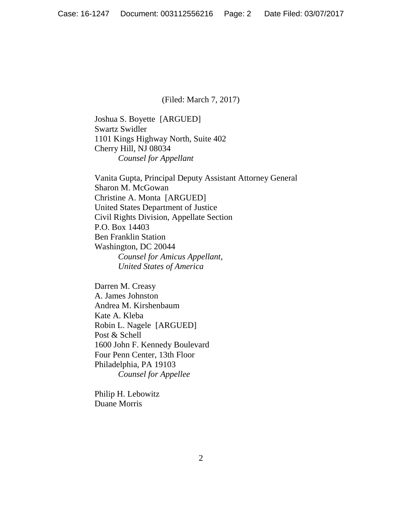(Filed: March 7, 2017)

Joshua S. Boyette [ARGUED] Swartz Swidler 1101 Kings Highway North, Suite 402 Cherry Hill, NJ 08034 *Counsel for Appellant*

Vanita Gupta, Principal Deputy Assistant Attorney General Sharon M. McGowan Christine A. Monta [ARGUED] United States Department of Justice Civil Rights Division, Appellate Section P.O. Box 14403 Ben Franklin Station Washington, DC 20044 *Counsel for Amicus Appellant, United States of America*

Darren M. Creasy A. James Johnston Andrea M. Kirshenbaum Kate A. Kleba Robin L. Nagele [ARGUED] Post & Schell 1600 John F. Kennedy Boulevard Four Penn Center, 13th Floor Philadelphia, PA 19103 *Counsel for Appellee*

Philip H. Lebowitz Duane Morris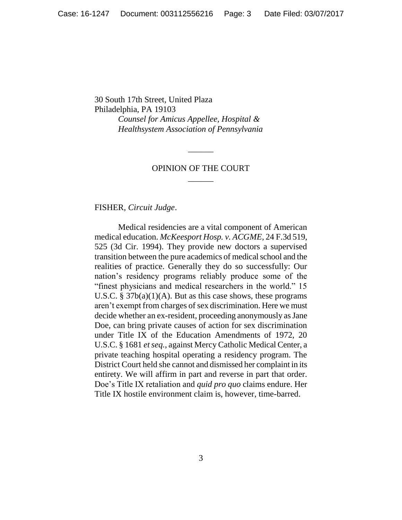30 South 17th Street, United Plaza Philadelphia, PA 19103 *Counsel for Amicus Appellee, Hospital & Healthsystem Association of Pennsylvania*

## OPINION OF THE COURT  $\overline{\phantom{a}}$

 $\overline{\phantom{a}}$ 

FISHER, *Circuit Judge*.

Medical residencies are a vital component of American medical education. *McKeesport Hosp. v. ACGME*, 24 F.3d 519, 525 (3d Cir. 1994). They provide new doctors a supervised transition between the pure academics of medical school and the realities of practice. Generally they do so successfully: Our nation's residency programs reliably produce some of the "finest physicians and medical researchers in the world." 15 U.S.C.  $\S 37b(a)(1)(A)$ . But as this case shows, these programs aren't exempt from charges of sex discrimination. Here we must decide whether an ex-resident, proceeding anonymously as Jane Doe, can bring private causes of action for sex discrimination under Title IX of the Education Amendments of 1972, 20 U.S.C. § 1681 *et seq.*, against Mercy Catholic Medical Center, a private teaching hospital operating a residency program. The District Court held she cannot and dismissed her complaint in its entirety. We will affirm in part and reverse in part that order. Doe's Title IX retaliation and *quid pro quo* claims endure. Her Title IX hostile environment claim is, however, time-barred.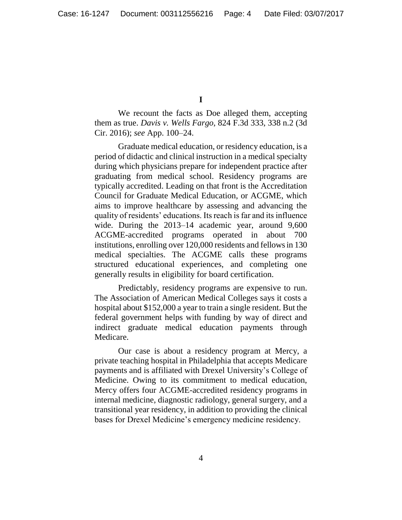**I**

We recount the facts as Doe alleged them, accepting them as true. *Davis v. Wells Fargo*, 824 F.3d 333, 338 n.2 (3d Cir. 2016); *see* App. 100–24.

Graduate medical education, or residency education, is a period of didactic and clinical instruction in a medical specialty during which physicians prepare for independent practice after graduating from medical school. Residency programs are typically accredited. Leading on that front is the Accreditation Council for Graduate Medical Education, or ACGME, which aims to improve healthcare by assessing and advancing the quality of residents' educations. Its reach is far and its influence wide. During the 2013–14 academic year, around 9,600 ACGME-accredited programs operated in about 700 institutions, enrolling over 120,000 residents and fellows in 130 medical specialties. The ACGME calls these programs structured educational experiences, and completing one generally results in eligibility for board certification.

Predictably, residency programs are expensive to run. The Association of American Medical Colleges says it costs a hospital about \$152,000 a year to train a single resident. But the federal government helps with funding by way of direct and indirect graduate medical education payments through Medicare.

Our case is about a residency program at Mercy, a private teaching hospital in Philadelphia that accepts Medicare payments and is affiliated with Drexel University's College of Medicine. Owing to its commitment to medical education, Mercy offers four ACGME-accredited residency programs in internal medicine, diagnostic radiology, general surgery, and a transitional year residency, in addition to providing the clinical bases for Drexel Medicine's emergency medicine residency.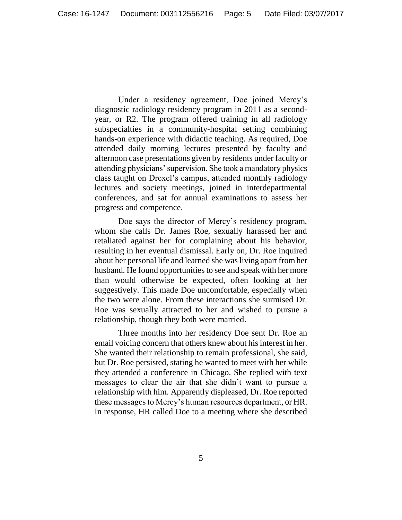Under a residency agreement, Doe joined Mercy's diagnostic radiology residency program in 2011 as a secondyear, or R2. The program offered training in all radiology subspecialties in a community-hospital setting combining hands-on experience with didactic teaching. As required, Doe attended daily morning lectures presented by faculty and afternoon case presentations given by residents under faculty or attending physicians' supervision. She took a mandatory physics class taught on Drexel's campus, attended monthly radiology lectures and society meetings, joined in interdepartmental conferences, and sat for annual examinations to assess her progress and competence.

Doe says the director of Mercy's residency program, whom she calls Dr. James Roe, sexually harassed her and retaliated against her for complaining about his behavior, resulting in her eventual dismissal. Early on, Dr. Roe inquired about her personal life and learned she was living apart from her husband. He found opportunities to see and speak with her more than would otherwise be expected, often looking at her suggestively. This made Doe uncomfortable, especially when the two were alone. From these interactions she surmised Dr. Roe was sexually attracted to her and wished to pursue a relationship, though they both were married.

Three months into her residency Doe sent Dr. Roe an email voicing concern that others knew about his interest in her. She wanted their relationship to remain professional, she said, but Dr. Roe persisted, stating he wanted to meet with her while they attended a conference in Chicago. She replied with text messages to clear the air that she didn't want to pursue a relationship with him. Apparently displeased, Dr. Roe reported these messages to Mercy's human resources department, or HR. In response, HR called Doe to a meeting where she described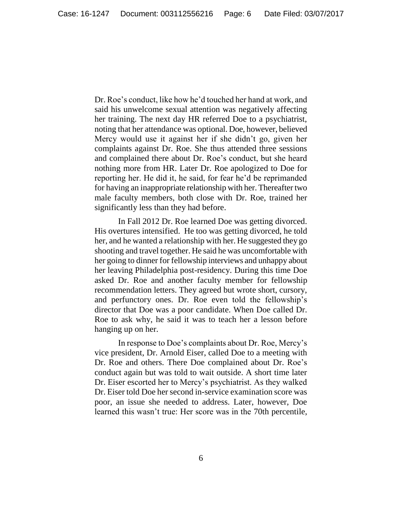Dr. Roe's conduct, like how he'd touched her hand at work, and said his unwelcome sexual attention was negatively affecting her training. The next day HR referred Doe to a psychiatrist, noting that her attendance was optional. Doe, however, believed Mercy would use it against her if she didn't go, given her complaints against Dr. Roe. She thus attended three sessions and complained there about Dr. Roe's conduct, but she heard nothing more from HR. Later Dr. Roe apologized to Doe for reporting her. He did it, he said, for fear he'd be reprimanded for having an inappropriate relationship with her. Thereafter two male faculty members, both close with Dr. Roe, trained her significantly less than they had before.

In Fall 2012 Dr. Roe learned Doe was getting divorced. His overtures intensified. He too was getting divorced, he told her, and he wanted a relationship with her. He suggested they go shooting and travel together. He said he was uncomfortable with her going to dinner for fellowship interviews and unhappy about her leaving Philadelphia post-residency. During this time Doe asked Dr. Roe and another faculty member for fellowship recommendation letters. They agreed but wrote short, cursory, and perfunctory ones. Dr. Roe even told the fellowship's director that Doe was a poor candidate. When Doe called Dr. Roe to ask why, he said it was to teach her a lesson before hanging up on her.

In response to Doe's complaints about Dr. Roe, Mercy's vice president, Dr. Arnold Eiser, called Doe to a meeting with Dr. Roe and others. There Doe complained about Dr. Roe's conduct again but was told to wait outside. A short time later Dr. Eiser escorted her to Mercy's psychiatrist. As they walked Dr. Eiser told Doe her second in-service examination score was poor, an issue she needed to address. Later, however, Doe learned this wasn't true: Her score was in the 70th percentile,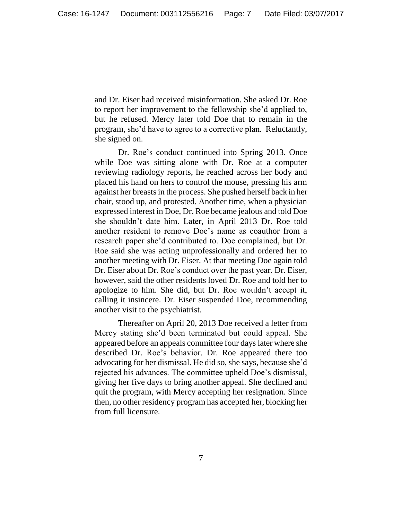and Dr. Eiser had received misinformation. She asked Dr. Roe to report her improvement to the fellowship she'd applied to, but he refused. Mercy later told Doe that to remain in the program, she'd have to agree to a corrective plan. Reluctantly, she signed on.

Dr. Roe's conduct continued into Spring 2013. Once while Doe was sitting alone with Dr. Roe at a computer reviewing radiology reports, he reached across her body and placed his hand on hers to control the mouse, pressing his arm against her breasts in the process. She pushed herself back in her chair, stood up, and protested. Another time, when a physician expressed interest in Doe, Dr. Roe became jealous and told Doe she shouldn't date him. Later, in April 2013 Dr. Roe told another resident to remove Doe's name as coauthor from a research paper she'd contributed to. Doe complained, but Dr. Roe said she was acting unprofessionally and ordered her to another meeting with Dr. Eiser. At that meeting Doe again told Dr. Eiser about Dr. Roe's conduct over the past year. Dr. Eiser, however, said the other residents loved Dr. Roe and told her to apologize to him. She did, but Dr. Roe wouldn't accept it, calling it insincere. Dr. Eiser suspended Doe, recommending another visit to the psychiatrist.

Thereafter on April 20, 2013 Doe received a letter from Mercy stating she'd been terminated but could appeal. She appeared before an appeals committee four days later where she described Dr. Roe's behavior. Dr. Roe appeared there too advocating for her dismissal. He did so, she says, because she'd rejected his advances. The committee upheld Doe's dismissal, giving her five days to bring another appeal. She declined and quit the program, with Mercy accepting her resignation. Since then, no other residency program has accepted her, blocking her from full licensure.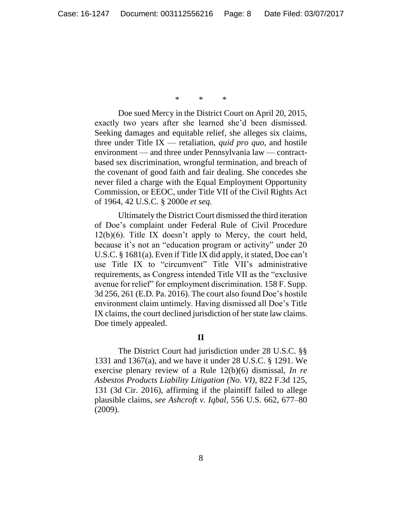\* \* \*

Doe sued Mercy in the District Court on April 20, 2015, exactly two years after she learned she'd been dismissed. Seeking damages and equitable relief, she alleges six claims, three under Title IX — retaliation, *quid pro quo*, and hostile environment — and three under Pennsylvania law — contractbased sex discrimination, wrongful termination, and breach of the covenant of good faith and fair dealing. She concedes she never filed a charge with the Equal Employment Opportunity Commission, or EEOC, under Title VII of the Civil Rights Act of 1964, 42 U.S.C. § 2000e *et seq.*

Ultimately the District Court dismissed the third iteration of Doe's complaint under Federal Rule of Civil Procedure  $12(b)(6)$ . Title IX doesn't apply to Mercy, the court held, because it's not an "education program or activity" under 20 U.S.C. § 1681(a). Even if Title IX did apply, it stated, Doe can't use Title IX to "circumvent" Title VII's administrative requirements, as Congress intended Title VII as the "exclusive avenue for relief" for employment discrimination. 158 F. Supp. 3d 256, 261 (E.D. Pa. 2016). The court also found Doe's hostile environment claim untimely. Having dismissed all Doe's Title IX claims, the court declined jurisdiction of her state law claims. Doe timely appealed.

## **II**

The District Court had jurisdiction under 28 U.S.C. §§ 1331 and 1367(a), and we have it under 28 U.S.C. § 1291. We exercise plenary review of a Rule 12(b)(6) dismissal, *In re Asbestos Products Liability Litigation (No. VI)*, 822 F.3d 125, 131 (3d Cir. 2016), affirming if the plaintiff failed to allege plausible claims, *see Ashcroft v. Iqbal*, 556 U.S. 662, 677–80 (2009).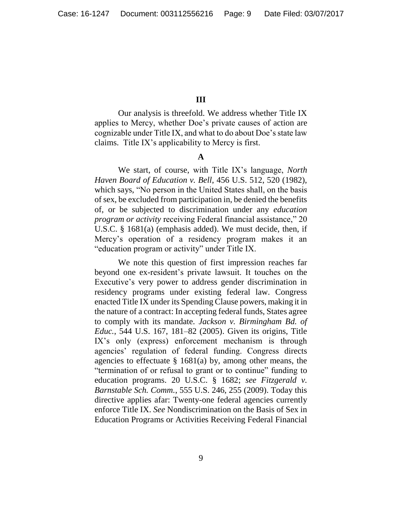## **III**

Our analysis is threefold. We address whether Title IX applies to Mercy, whether Doe's private causes of action are cognizable under Title IX, and what to do about Doe's state law claims. Title IX's applicability to Mercy is first.

# **A**

We start, of course, with Title IX's language, *North Haven Board of Education v. Bell*, 456 U.S. 512, 520 (1982), which says, "No person in the United States shall, on the basis of sex, be excluded from participation in, be denied the benefits of, or be subjected to discrimination under any *education program or activity* receiving Federal financial assistance," 20 U.S.C. § 1681(a) (emphasis added). We must decide, then, if Mercy's operation of a residency program makes it an "education program or activity" under Title IX.

We note this question of first impression reaches far beyond one ex-resident's private lawsuit. It touches on the Executive's very power to address gender discrimination in residency programs under existing federal law. Congress enacted Title IX under its Spending Clause powers, making it in the nature of a contract: In accepting federal funds, States agree to comply with its mandate. *Jackson v. Birmingham Bd. of Educ.*, 544 U.S. 167, 181–82 (2005). Given its origins, Title IX's only (express) enforcement mechanism is through agencies' regulation of federal funding. Congress directs agencies to effectuate  $\S$  1681(a) by, among other means, the "termination of or refusal to grant or to continue" funding to education programs. 20 U.S.C. § 1682; *see Fitzgerald v. Barnstable Sch. Comm.*, 555 U.S. 246, 255 (2009). Today this directive applies afar: Twenty-one federal agencies currently enforce Title IX. *See* Nondiscrimination on the Basis of Sex in Education Programs or Activities Receiving Federal Financial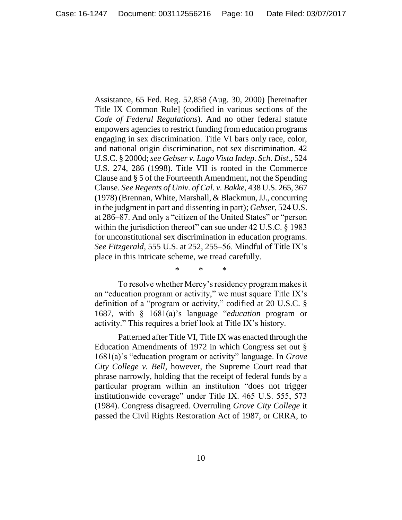Assistance, 65 Fed. Reg. 52,858 (Aug. 30, 2000) [hereinafter Title IX Common Rule] (codified in various sections of the *Code of Federal Regulations*). And no other federal statute empowers agencies to restrict funding from education programs engaging in sex discrimination. Title VI bars only race, color, and national origin discrimination, not sex discrimination. 42 U.S.C. § 2000d; *see Gebser v. Lago Vista Indep. Sch. Dist.*, 524 U.S. 274, 286 (1998). Title VII is rooted in the Commerce Clause and § 5 of the Fourteenth Amendment, not the Spending Clause. *See Regents of Univ. of Cal. v. Bakke*, 438 U.S. 265, 367 (1978) (Brennan, White, Marshall, & Blackmun, JJ., concurring in the judgment in part and dissenting in part); *Gebser*, 524 U.S. at 286–87. And only a "citizen of the United States" or "person within the jurisdiction thereof" can sue under 42 U.S.C. § 1983 for unconstitutional sex discrimination in education programs. *See Fitzgerald*, 555 U.S. at 252, 255–56. Mindful of Title IX's place in this intricate scheme, we tread carefully.

\* \* \*

To resolve whether Mercy's residency program makes it an "education program or activity," we must square Title IX's definition of a "program or activity," codified at 20 U.S.C. § 1687, with § 1681(a)'s language "*education* program or activity." This requires a brief look at Title IX's history.

Patterned after Title VI, Title IX was enacted through the Education Amendments of 1972 in which Congress set out § 1681(a)'s "education program or activity" language. In *Grove City College v. Bell*, however, the Supreme Court read that phrase narrowly, holding that the receipt of federal funds by a particular program within an institution "does not trigger institutionwide coverage" under Title IX. 465 U.S. 555, 573 (1984). Congress disagreed. Overruling *Grove City College* it passed the Civil Rights Restoration Act of 1987, or CRRA, to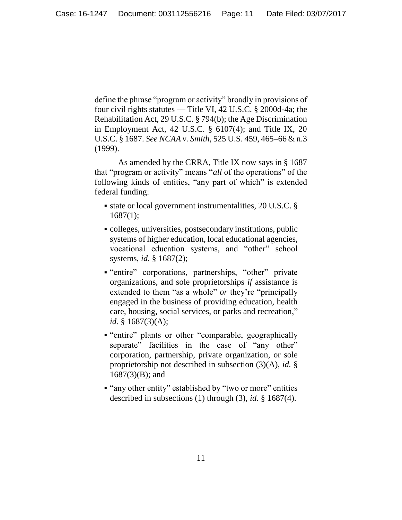define the phrase "program or activity" broadly in provisions of four civil rights statutes — Title VI, 42 U.S.C. § 2000d-4a; the Rehabilitation Act, 29 U.S.C. § 794(b); the Age Discrimination in Employment Act, 42 U.S.C. § 6107(4); and Title IX, 20 U.S.C. § 1687. *See NCAA v. Smith*, 525 U.S. 459, 465–66 & n.3 (1999).

As amended by the CRRA, Title IX now says in § 1687 that "program or activity" means "*all* of the operations" of the following kinds of entities, "any part of which" is extended federal funding:

- state or local government instrumentalities, 20 U.S.C. §  $1687(1)$ ;
- colleges, universities, postsecondary institutions, public systems of higher education, local educational agencies, vocational education systems, and "other" school systems, *id.* § 1687(2);
- "entire" corporations, partnerships, "other" private organizations, and sole proprietorships *if* assistance is extended to them "as a whole" *or* they're "principally engaged in the business of providing education, health care, housing, social services, or parks and recreation," *id.* § 1687(3)(A);
- "entire" plants or other "comparable, geographically separate" facilities in the case of "any other" corporation, partnership, private organization, or sole proprietorship not described in subsection (3)(A), *id.* § 1687(3)(B); and
- "any other entity" established by "two or more" entities described in subsections (1) through (3), *id.* § 1687(4).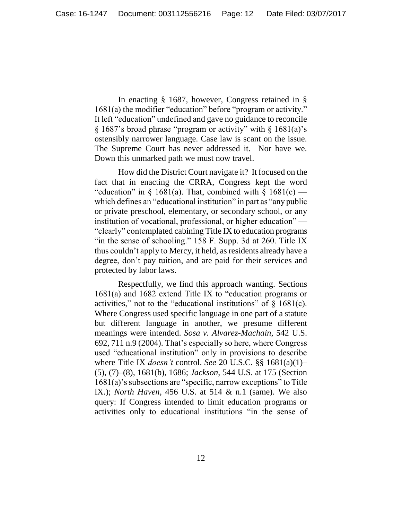In enacting § 1687, however, Congress retained in § 1681(a) the modifier "education" before "program or activity." It left "education" undefined and gave no guidance to reconcile § 1687's broad phrase "program or activity" with § 1681(a)'s ostensibly narrower language. Case law is scant on the issue. The Supreme Court has never addressed it. Nor have we. Down this unmarked path we must now travel.

How did the District Court navigate it? It focused on the fact that in enacting the CRRA, Congress kept the word "education" in  $\S$  1681(a). That, combined with  $\S$  1681(c) which defines an "educational institution" in part as "any public or private preschool, elementary, or secondary school, or any institution of vocational, professional, or higher education" — "clearly" contemplated cabining Title IX to education programs "in the sense of schooling." 158 F. Supp. 3d at 260. Title IX thus couldn't apply to Mercy, it held, as residents already have a degree, don't pay tuition, and are paid for their services and protected by labor laws.

Respectfully, we find this approach wanting. Sections 1681(a) and 1682 extend Title IX to "education programs or activities," not to the "educational institutions" of  $\S$  1681(c). Where Congress used specific language in one part of a statute but different language in another, we presume different meanings were intended. *Sosa v. Alvarez-Machain*, 542 U.S. 692, 711 n.9 (2004). That's especially so here, where Congress used "educational institution" only in provisions to describe where Title IX *doesn't* control. *See* 20 U.S.C. §§ 1681(a)(1)– (5), (7)–(8), 1681(b), 1686; *Jackson*, 544 U.S. at 175 (Section 1681(a)'s subsections are "specific, narrow exceptions" to Title IX.); *North Haven*, 456 U.S. at 514 & n.1 (same). We also query: If Congress intended to limit education programs or activities only to educational institutions "in the sense of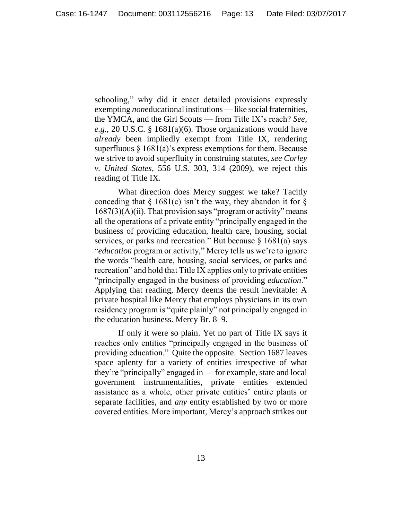schooling," why did it enact detailed provisions expressly exempting *noneducational* institutions — like social fraternities, the YMCA, and the Girl Scouts — from Title IX's reach? *See, e.g.*, 20 U.S.C. § 1681(a)(6). Those organizations would have *already* been impliedly exempt from Title IX, rendering superfluous  $\S 1681(a)$ 's express exemptions for them. Because we strive to avoid superfluity in construing statutes, *see Corley v. United States*, 556 U.S. 303, 314 (2009), we reject this reading of Title IX.

What direction does Mercy suggest we take? Tacitly conceding that  $\S$  1681(c) isn't the way, they abandon it for  $\S$  $1687(3)(A)(ii)$ . That provision says "program or activity" means all the operations of a private entity "principally engaged in the business of providing education, health care, housing, social services, or parks and recreation." But because  $\S$  1681(a) says "*education* program or activity," Mercy tells us we're to ignore the words "health care, housing, social services, or parks and recreation" and hold that Title IX applies only to private entities "principally engaged in the business of providing *education*." Applying that reading, Mercy deems the result inevitable: A private hospital like Mercy that employs physicians in its own residency program is "quite plainly" not principally engaged in the education business. Mercy Br. 8–9.

If only it were so plain. Yet no part of Title IX says it reaches only entities "principally engaged in the business of providing education." Quite the opposite. Section 1687 leaves space aplenty for a variety of entities irrespective of what they're "principally" engaged in — for example, state and local government instrumentalities, private entities extended assistance as a whole, other private entities' entire plants or separate facilities, and *any* entity established by two or more covered entities. More important, Mercy's approach strikes out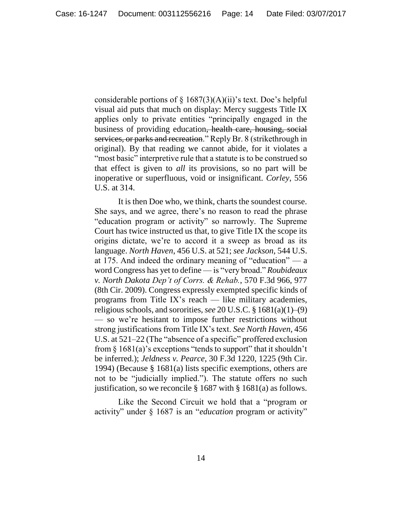considerable portions of  $\S 1687(3)(A)(ii)$ 's text. Doe's helpful visual aid puts that much on display: Mercy suggests Title IX applies only to private entities "principally engaged in the business of providing education, health care, housing, social services, or parks and recreation." Reply Br. 8 (strikethrough in original). By that reading we cannot abide, for it violates a "most basic" interpretive rule that a statute is to be construed so that effect is given to *all* its provisions, so no part will be inoperative or superfluous, void or insignificant. *Corley*, 556 U.S. at 314.

It is then Doe who, we think, charts the soundest course. She says, and we agree, there's no reason to read the phrase "education program or activity" so narrowly. The Supreme Court has twice instructed us that, to give Title IX the scope its origins dictate, we're to accord it a sweep as broad as its language. *North Haven*, 456 U.S. at 521; *see Jackson*, 544 U.S. at 175. And indeed the ordinary meaning of "education" — a word Congress has yet to define — is "very broad." *Roubideaux v. North Dakota Dep't of Corrs. & Rehab.*, 570 F.3d 966, 977 (8th Cir. 2009). Congress expressly exempted specific kinds of programs from Title IX's reach — like military academies, religious schools, and sororities, *see* 20 U.S.C. § 1681(a)(1)–(9) — so we're hesitant to impose further restrictions without strong justifications from Title IX's text. *See North Haven*, 456 U.S. at 521–22 (The "absence of a specific" proffered exclusion from  $\S$  1681(a)'s exceptions "tends to support" that it shouldn't be inferred.); *Jeldness v. Pearce*, 30 F.3d 1220, 1225 (9th Cir. 1994) (Because § 1681(a) lists specific exemptions, others are not to be "judicially implied."). The statute offers no such justification, so we reconcile § 1687 with § 1681(a) as follows.

Like the Second Circuit we hold that a "program or activity" under § 1687 is an "*education* program or activity"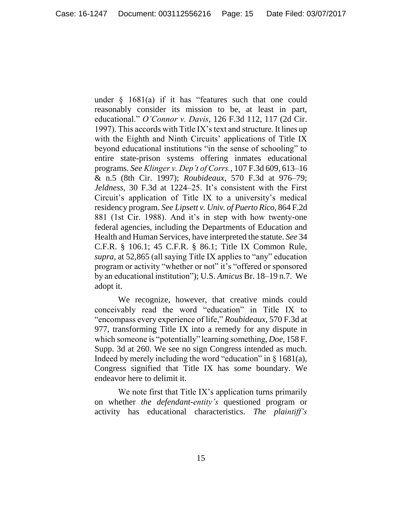under  $\S$  1681(a) if it has "features such that one could reasonably consider its mission to be, at least in part, educational." *O'Connor v. Davis*, 126 F.3d 112, 117 (2d Cir. 1997). This accords with Title IX's text and structure. It lines up with the Eighth and Ninth Circuits' applications of Title IX beyond educational institutions "in the sense of schooling" to entire state-prison systems offering inmates educational programs. *See Klinger v. Dep't of Corrs.*, 107 F.3d 609, 613–16 & n.5 (8th Cir. 1997); *Roubideaux*, 570 F.3d at 976–79; *Jeldness*, 30 F.3d at 1224–25. It's consistent with the First Circuit's application of Title IX to a university's medical residency program. *See Lipsett v. Univ. of Puerto Rico*, 864 F.2d 881 (1st Cir. 1988). And it's in step with how twenty-one federal agencies, including the Departments of Education and Health and Human Services, have interpreted the statute. *See* 34 C.F.R. § 106.1; 45 C.F.R. § 86.1; Title IX Common Rule, *supra*, at 52,865 (all saying Title IX applies to "any" education program or activity "whether or not" it's "offered or sponsored by an educational institution"); U.S. *Amicus* Br. 18–19 n.7. We adopt it.

We recognize, however, that creative minds could conceivably read the word "education" in Title IX to "encompass every experience of life," *Roubideaux*, 570 F.3d at 977, transforming Title IX into a remedy for any dispute in which someone is "potentially" learning something, *Doe*, 158 F. Supp. 3d at 260. We see no sign Congress intended as much. Indeed by merely including the word "education" in  $\S$  1681(a), Congress signified that Title IX has *some* boundary. We endeavor here to delimit it.

We note first that Title IX's application turns primarily on whether *the defendant-entity's* questioned program or activity has educational characteristics. *The plaintiff's*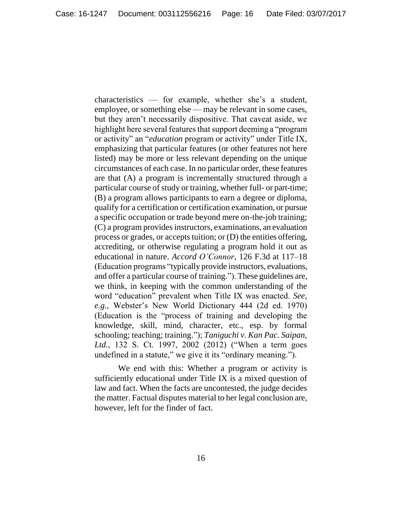characteristics — for example, whether she's a student, employee, or something else — may be relevant in some cases, but they aren't necessarily dispositive. That caveat aside, we highlight here several features that support deeming a "program or activity" an "*education* program or activity" under Title IX, emphasizing that particular features (or other features not here listed) may be more or less relevant depending on the unique circumstances of each case. In no particular order, these features are that (A) a program is incrementally structured through a particular course of study or training, whether full- or part-time; (B) a program allows participants to earn a degree or diploma, qualify for a certification or certification examination, or pursue a specific occupation or trade beyond mere on-the-job training; (C) a program provides instructors, examinations, an evaluation process or grades, or accepts tuition; or (D) the entities offering, accrediting, or otherwise regulating a program hold it out as educational in nature. *Accord O'Connor*, 126 F.3d at 117–18 (Education programs "typically provide instructors, evaluations, and offer a particular course of training."). These guidelines are, we think, in keeping with the common understanding of the word "education" prevalent when Title IX was enacted. *See, e.g.*, Webster's New World Dictionary 444 (2d ed. 1970) (Education is the "process of training and developing the knowledge, skill, mind, character, etc., esp. by formal schooling; teaching; training."); *Taniguchi v. Kan Pac. Saipan, Ltd.*, 132 S. Ct. 1997, 2002 (2012) ("When a term goes undefined in a statute," we give it its "ordinary meaning.").

We end with this: Whether a program or activity is sufficiently educational under Title IX is a mixed question of law and fact. When the facts are uncontested, the judge decides the matter. Factual disputes material to her legal conclusion are, however, left for the finder of fact.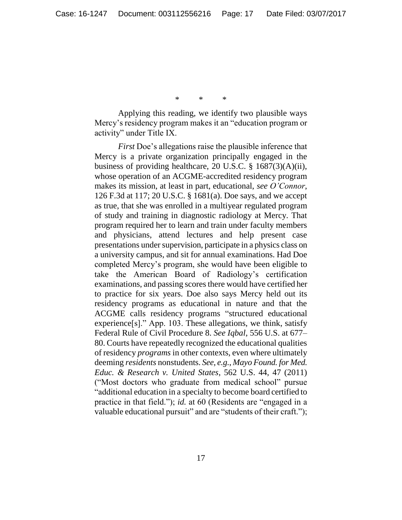\* \* \*

Applying this reading, we identify two plausible ways Mercy's residency program makes it an "education program or activity" under Title IX.

*First* Doe's allegations raise the plausible inference that Mercy is a private organization principally engaged in the business of providing healthcare, 20 U.S.C. § 1687(3)(A)(ii), whose operation of an ACGME-accredited residency program makes its mission, at least in part, educational, *see O'Connor*, 126 F.3d at 117; 20 U.S.C. § 1681(a). Doe says, and we accept as true, that she was enrolled in a multiyear regulated program of study and training in diagnostic radiology at Mercy. That program required her to learn and train under faculty members and physicians, attend lectures and help present case presentations under supervision, participate in a physics class on a university campus, and sit for annual examinations. Had Doe completed Mercy's program, she would have been eligible to take the American Board of Radiology's certification examinations, and passing scores there would have certified her to practice for six years. Doe also says Mercy held out its residency programs as educational in nature and that the ACGME calls residency programs "structured educational experience[s]." App. 103. These allegations, we think, satisfy Federal Rule of Civil Procedure 8. *See Iqbal*, 556 U.S. at 677– 80. Courts have repeatedly recognized the educational qualities of residency *programs* in other contexts, even where ultimately deeming *residents* nonstudents. *See, e.g.*, *Mayo Found. for Med. Educ. & Research v. United States*, 562 U.S. 44, 47 (2011) ("Most doctors who graduate from medical school" pursue "additional education in a specialty to become board certified to practice in that field."); *id.* at 60 (Residents are "engaged in a valuable educational pursuit" and are "students of their craft.");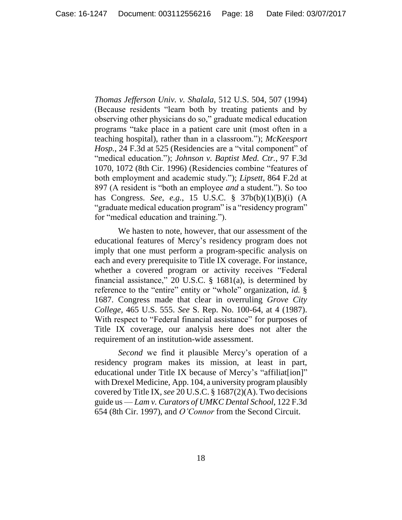*Thomas Jefferson Univ. v. Shalala*, 512 U.S. 504, 507 (1994) (Because residents "learn both by treating patients and by observing other physicians do so," graduate medical education programs "take place in a patient care unit (most often in a teaching hospital), rather than in a classroom."); *McKeesport Hosp.*, 24 F.3d at 525 (Residencies are a "vital component" of "medical education."); *Johnson v. Baptist Med. Ctr.*, 97 F.3d 1070, 1072 (8th Cir. 1996) (Residencies combine "features of both employment and academic study."); *Lipsett*, 864 F.2d at 897 (A resident is "both an employee *and* a student."). So too has Congress. *See, e.g.*, 15 U.S.C. § 37b(b)(1)(B)(i) (A "graduate medical education program" is a "residency program" for "medical education and training.").

We hasten to note, however, that our assessment of the educational features of Mercy's residency program does not imply that one must perform a program-specific analysis on each and every prerequisite to Title IX coverage. For instance, whether a covered program or activity receives "Federal financial assistance," 20 U.S.C. § 1681(a), is determined by reference to the "entire" entity or "whole" organization, *id.* § 1687. Congress made that clear in overruling *Grove City College*, 465 U.S. 555. *See* S. Rep. No. 100-64, at 4 (1987). With respect to "Federal financial assistance" for purposes of Title IX coverage, our analysis here does not alter the requirement of an institution-wide assessment.

*Second* we find it plausible Mercy's operation of a residency program makes its mission, at least in part, educational under Title IX because of Mercy's "affiliat[ion]" with Drexel Medicine, App. 104, a university program plausibly covered by Title IX, *see* 20 U.S.C. § 1687(2)(A). Two decisions guide us — *Lam v. Curators of UMKC Dental School*, 122 F.3d 654 (8th Cir. 1997), and *O'Connor* from the Second Circuit.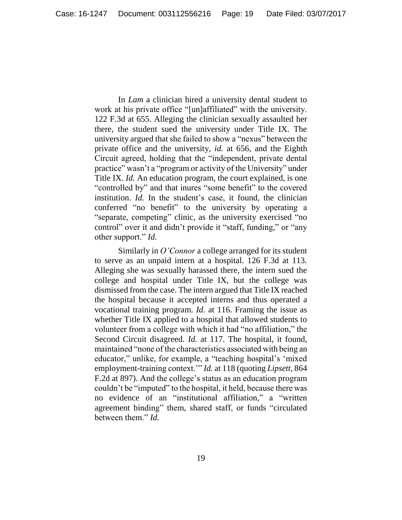In *Lam* a clinician hired a university dental student to work at his private office "[un]affiliated" with the university. 122 F.3d at 655. Alleging the clinician sexually assaulted her there, the student sued the university under Title IX. The university argued that she failed to show a "nexus" between the private office and the university, *id.* at 656, and the Eighth Circuit agreed, holding that the "independent, private dental practice" wasn't a "program or activity of the University" under Title IX. *Id.* An education program, the court explained, is one "controlled by" and that inures "some benefit" to the covered institution. *Id.* In the student's case, it found, the clinician conferred "no benefit" to the university by operating a "separate, competing" clinic, as the university exercised "no control" over it and didn't provide it "staff, funding," or "any other support." *Id.*

Similarly in *O'Connor* a college arranged for its student to serve as an unpaid intern at a hospital. 126 F.3d at 113. Alleging she was sexually harassed there, the intern sued the college and hospital under Title IX, but the college was dismissed from the case. The intern argued that Title IX reached the hospital because it accepted interns and thus operated a vocational training program. *Id.* at 116. Framing the issue as whether Title IX applied to a hospital that allowed students to volunteer from a college with which it had "no affiliation," the Second Circuit disagreed. *Id.* at 117. The hospital, it found, maintained "none of the characteristics associated with being an educator," unlike, for example, a "teaching hospital's 'mixed employment-training context.'" *Id.* at 118 (quoting *Lipsett*, 864 F.2d at 897). And the college's status as an education program couldn't be "imputed" to the hospital, it held, because there was no evidence of an "institutional affiliation," a "written agreement binding" them, shared staff, or funds "circulated between them." *Id.*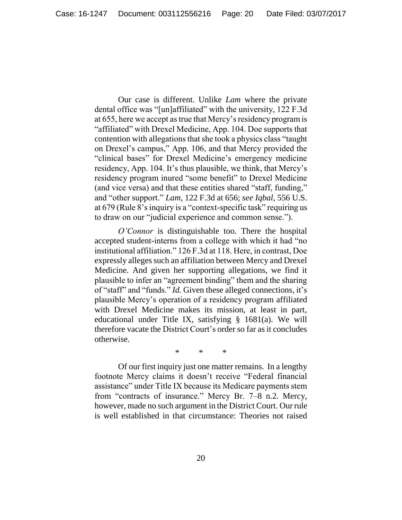Our case is different. Unlike *Lam* where the private dental office was "[un]affiliated" with the university, 122 F.3d at 655, here we accept as true that Mercy's residency program is "affiliated" with Drexel Medicine, App. 104. Doe supports that contention with allegations that she took a physics class "taught on Drexel's campus," App. 106, and that Mercy provided the "clinical bases" for Drexel Medicine's emergency medicine residency, App. 104. It's thus plausible, we think, that Mercy's residency program inured "some benefit" to Drexel Medicine (and vice versa) and that these entities shared "staff, funding," and "other support." *Lam*, 122 F.3d at 656; *see Iqbal*, 556 U.S. at 679 (Rule 8's inquiry is a "context-specific task" requiring us to draw on our "judicial experience and common sense.").

*O'Connor* is distinguishable too. There the hospital accepted student-interns from a college with which it had "no institutional affiliation." 126 F.3d at 118. Here, in contrast, Doe expressly alleges such an affiliation between Mercy and Drexel Medicine. And given her supporting allegations, we find it plausible to infer an "agreement binding" them and the sharing of "staff" and "funds." *Id.* Given these alleged connections, it's plausible Mercy's operation of a residency program affiliated with Drexel Medicine makes its mission, at least in part, educational under Title IX, satisfying § 1681(a). We will therefore vacate the District Court's order so far as it concludes otherwise.

\* \* \*

Of our first inquiry just one matter remains. In a lengthy footnote Mercy claims it doesn't receive "Federal financial assistance" under Title IX because its Medicare payments stem from "contracts of insurance." Mercy Br. 7–8 n.2. Mercy, however, made no such argument in the District Court. Our rule is well established in that circumstance: Theories not raised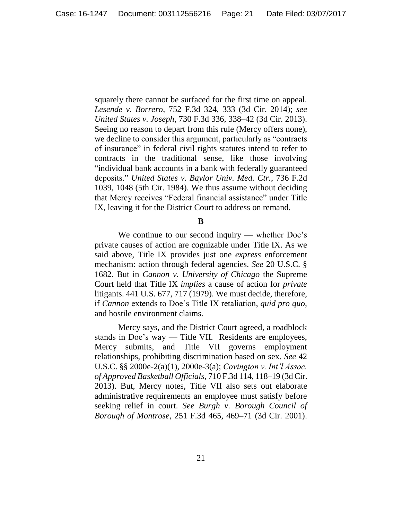squarely there cannot be surfaced for the first time on appeal. *Lesende v. Borrero*, 752 F.3d 324, 333 (3d Cir. 2014); *see United States v. Joseph*, 730 F.3d 336, 338–42 (3d Cir. 2013). Seeing no reason to depart from this rule (Mercy offers none), we decline to consider this argument, particularly as "contracts of insurance" in federal civil rights statutes intend to refer to contracts in the traditional sense, like those involving "individual bank accounts in a bank with federally guaranteed deposits." *United States v. Baylor Univ. Med. Ctr.*, 736 F.2d 1039, 1048 (5th Cir. 1984). We thus assume without deciding that Mercy receives "Federal financial assistance" under Title IX, leaving it for the District Court to address on remand.

#### **B**

We continue to our second inquiry — whether Doe's private causes of action are cognizable under Title IX. As we said above, Title IX provides just one *express* enforcement mechanism: action through federal agencies. *See* 20 U.S.C. § 1682. But in *Cannon v. University of Chicago* the Supreme Court held that Title IX *implies* a cause of action for *private* litigants. 441 U.S. 677, 717 (1979). We must decide, therefore, if *Cannon* extends to Doe's Title IX retaliation, *quid pro quo*, and hostile environment claims.

Mercy says, and the District Court agreed, a roadblock stands in Doe's way — Title VII*.* Residents are employees, Mercy submits, and Title VII governs employment relationships, prohibiting discrimination based on sex. *See* 42 U.S.C. §§ 2000e-2(a)(1), 2000e-3(a); *Covington v. Int'l Assoc. of Approved Basketball Officials*, 710 F.3d 114, 118–19 (3d Cir. 2013). But, Mercy notes, Title VII also sets out elaborate administrative requirements an employee must satisfy before seeking relief in court. *See Burgh v. Borough Council of Borough of Montrose*, 251 F.3d 465, 469–71 (3d Cir. 2001).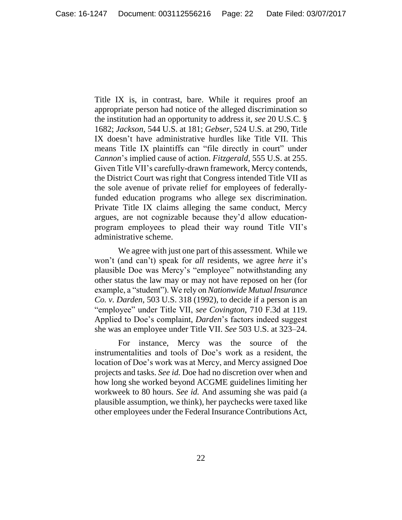Title IX is, in contrast, bare. While it requires proof an appropriate person had notice of the alleged discrimination so the institution had an opportunity to address it, *see* 20 U.S.C. § 1682; *Jackson*, 544 U.S. at 181; *Gebser*, 524 U.S. at 290, Title IX doesn't have administrative hurdles like Title VII. This means Title IX plaintiffs can "file directly in court" under *Cannon*'s implied cause of action. *Fitzgerald*, 555 U.S. at 255. Given Title VII's carefully-drawn framework, Mercy contends, the District Court was right that Congress intended Title VII as the sole avenue of private relief for employees of federallyfunded education programs who allege sex discrimination. Private Title IX claims alleging the same conduct, Mercy argues, are not cognizable because they'd allow educationprogram employees to plead their way round Title VII's administrative scheme.

We agree with just one part of this assessment. While we won't (and can't) speak for *all* residents, we agree *here* it's plausible Doe was Mercy's "employee" notwithstanding any other status the law may or may not have reposed on her (for example, a "student"). We rely on *Nationwide Mutual Insurance Co. v. Darden*, 503 U.S. 318 (1992), to decide if a person is an "employee" under Title VII, *see Covington*, 710 F.3d at 119. Applied to Doe's complaint, *Darden*'s factors indeed suggest she was an employee under Title VII. *See* 503 U.S. at 323–24.

For instance, Mercy was the source of the instrumentalities and tools of Doe's work as a resident, the location of Doe's work was at Mercy, and Mercy assigned Doe projects and tasks. *See id.* Doe had no discretion over when and how long she worked beyond ACGME guidelines limiting her workweek to 80 hours. *See id.* And assuming she was paid (a plausible assumption, we think), her paychecks were taxed like other employees under the Federal Insurance Contributions Act,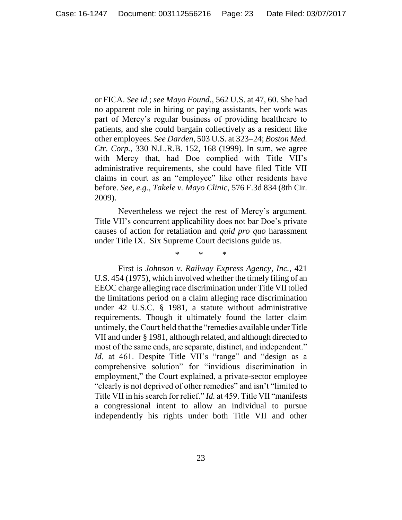or FICA. *See id.*; *see Mayo Found.*, 562 U.S. at 47, 60. She had no apparent role in hiring or paying assistants, her work was part of Mercy's regular business of providing healthcare to patients, and she could bargain collectively as a resident like other employees. *See Darden*, 503 U.S. at 323–24; *Boston Med. Ctr. Corp.*, 330 N.L.R.B. 152, 168 (1999). In sum, we agree with Mercy that, had Doe complied with Title VII's administrative requirements, she could have filed Title VII claims in court as an "employee" like other residents have before. *See, e.g.*, *Takele v. Mayo Clinic*, 576 F.3d 834 (8th Cir. 2009).

Nevertheless we reject the rest of Mercy's argument. Title VII's concurrent applicability does not bar Doe's private causes of action for retaliation and *quid pro quo* harassment under Title IX. Six Supreme Court decisions guide us.

\* \* \*

First is *Johnson v. Railway Express Agency, Inc.*, 421 U.S. 454 (1975), which involved whether the timely filing of an EEOC charge alleging race discrimination under Title VII tolled the limitations period on a claim alleging race discrimination under 42 U.S.C. § 1981, a statute without administrative requirements. Though it ultimately found the latter claim untimely, the Court held that the "remedies available under Title VII and under § 1981, although related, and although directed to most of the same ends, are separate, distinct, and independent." Id. at 461. Despite Title VII's "range" and "design as a comprehensive solution" for "invidious discrimination in employment," the Court explained, a private-sector employee "clearly is not deprived of other remedies" and isn't "limited to Title VII in his search for relief." *Id.* at 459. Title VII "manifests a congressional intent to allow an individual to pursue independently his rights under both Title VII and other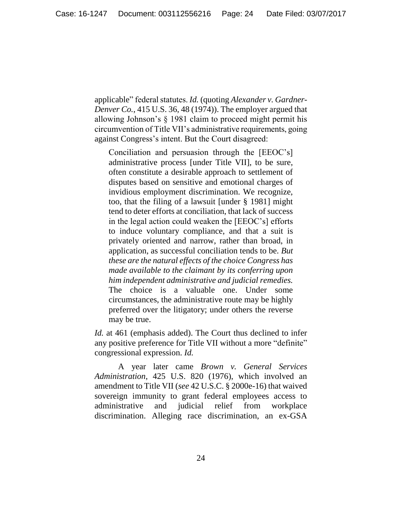applicable" federal statutes. *Id.* (quoting *Alexander v. Gardner-Denver Co.*, 415 U.S. 36, 48 (1974)). The employer argued that allowing Johnson's § 1981 claim to proceed might permit his circumvention of Title VII's administrative requirements, going against Congress's intent. But the Court disagreed:

Conciliation and persuasion through the [EEOC's] administrative process [under Title VII], to be sure, often constitute a desirable approach to settlement of disputes based on sensitive and emotional charges of invidious employment discrimination. We recognize, too, that the filing of a lawsuit [under § 1981] might tend to deter efforts at conciliation, that lack of success in the legal action could weaken the [EEOC's] efforts to induce voluntary compliance, and that a suit is privately oriented and narrow, rather than broad, in application, as successful conciliation tends to be. *But these are the natural effects of the choice Congress has made available to the claimant by its conferring upon him independent administrative and judicial remedies.* The choice is a valuable one. Under some circumstances, the administrative route may be highly preferred over the litigatory; under others the reverse may be true.

*Id.* at 461 (emphasis added). The Court thus declined to infer any positive preference for Title VII without a more "definite" congressional expression. *Id.*

A year later came *Brown v. General Services Administration*, 425 U.S. 820 (1976), which involved an amendment to Title VII (*see* 42 U.S.C. § 2000e-16) that waived sovereign immunity to grant federal employees access to administrative and judicial relief from workplace discrimination. Alleging race discrimination, an ex-GSA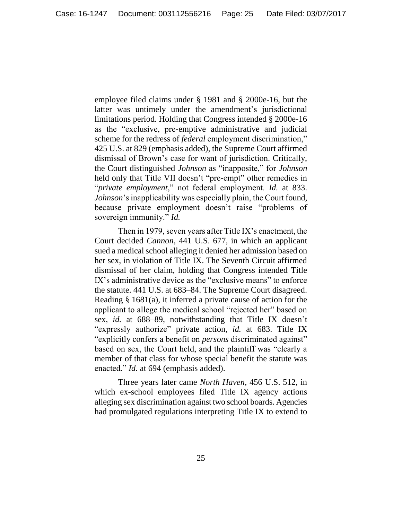employee filed claims under § 1981 and § 2000e-16, but the latter was untimely under the amendment's jurisdictional limitations period. Holding that Congress intended § 2000e-16 as the "exclusive, pre-emptive administrative and judicial scheme for the redress of *federal* employment discrimination," 425 U.S. at 829 (emphasis added), the Supreme Court affirmed dismissal of Brown's case for want of jurisdiction. Critically, the Court distinguished *Johnson* as "inapposite," for *Johnson* held only that Title VII doesn't "pre-empt" other remedies in "*private employment*," not federal employment. *Id.* at 833. *Johnson*'s inapplicability was especially plain, the Court found, because private employment doesn't raise "problems of sovereign immunity." *Id.*

Then in 1979, seven years after Title IX's enactment, the Court decided *Cannon*, 441 U.S. 677, in which an applicant sued a medical school alleging it denied her admission based on her sex, in violation of Title IX. The Seventh Circuit affirmed dismissal of her claim, holding that Congress intended Title IX's administrative device as the "exclusive means" to enforce the statute. 441 U.S. at 683–84. The Supreme Court disagreed. Reading § 1681(a), it inferred a private cause of action for the applicant to allege the medical school "rejected her" based on sex, *id.* at 688–89, notwithstanding that Title IX doesn't "expressly authorize" private action, *id.* at 683. Title IX "explicitly confers a benefit on *persons* discriminated against" based on sex, the Court held, and the plaintiff was "clearly a member of that class for whose special benefit the statute was enacted." *Id.* at 694 (emphasis added).

Three years later came *North Haven*, 456 U.S. 512, in which ex-school employees filed Title IX agency actions alleging sex discrimination against two school boards. Agencies had promulgated regulations interpreting Title IX to extend to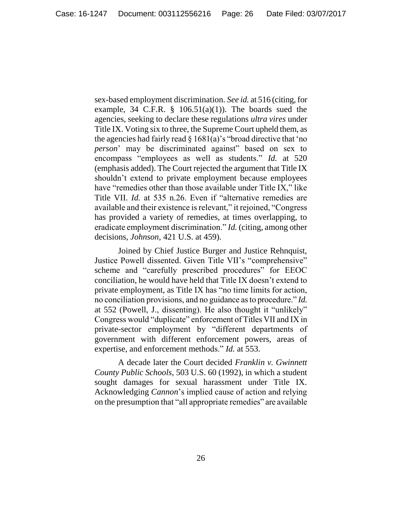sex-based employment discrimination. *See id.* at 516 (citing, for example, 34 C.F.R.  $\S$  106.51(a)(1)). The boards sued the agencies, seeking to declare these regulations *ultra vires* under Title IX. Voting six to three, the Supreme Court upheld them, as the agencies had fairly read  $\S 1681(a)$ 's "broad directive that 'no *person*' may be discriminated against" based on sex to encompass "employees as well as students." *Id.* at 520 (emphasis added). The Court rejected the argument that Title IX shouldn't extend to private employment because employees have "remedies other than those available under Title IX," like Title VII. *Id.* at 535 n.26. Even if "alternative remedies are available and their existence is relevant," it rejoined, "Congress has provided a variety of remedies, at times overlapping, to eradicate employment discrimination." *Id.* (citing, among other decisions, *Johnson*, 421 U.S. at 459).

Joined by Chief Justice Burger and Justice Rehnquist, Justice Powell dissented. Given Title VII's "comprehensive" scheme and "carefully prescribed procedures" for EEOC conciliation, he would have held that Title IX doesn't extend to private employment, as Title IX has "no time limits for action, no conciliation provisions, and no guidance as to procedure." *Id.* at 552 (Powell, J., dissenting). He also thought it "unlikely" Congress would "duplicate" enforcement of Titles VII and IX in private-sector employment by "different departments of government with different enforcement powers, areas of expertise, and enforcement methods." *Id.* at 553.

A decade later the Court decided *Franklin v. Gwinnett County Public Schools*, 503 U.S. 60 (1992), in which a student sought damages for sexual harassment under Title IX. Acknowledging *Cannon*'s implied cause of action and relying on the presumption that "all appropriate remedies" are available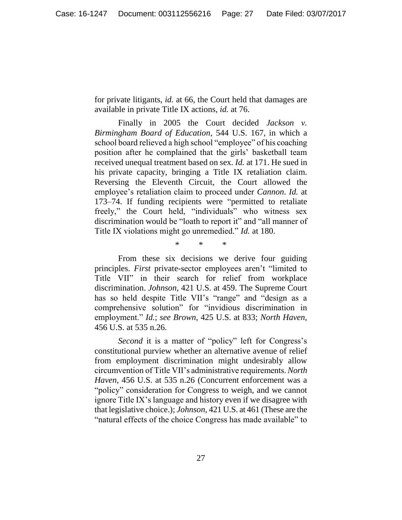for private litigants, *id.* at 66, the Court held that damages are available in private Title IX actions, *id.* at 76.

Finally in 2005 the Court decided *Jackson v. Birmingham Board of Education*, 544 U.S. 167, in which a school board relieved a high school "employee" of his coaching position after he complained that the girls' basketball team received unequal treatment based on sex. *Id.* at 171. He sued in his private capacity, bringing a Title IX retaliation claim. Reversing the Eleventh Circuit, the Court allowed the employee's retaliation claim to proceed under *Cannon*. *Id.* at 173–74. If funding recipients were "permitted to retaliate freely," the Court held, "individuals" who witness sex discrimination would be "loath to report it" and "all manner of Title IX violations might go unremedied." *Id.* at 180.

\* \* \*

From these six decisions we derive four guiding principles. *First* private-sector employees aren't "limited to Title VII" in their search for relief from workplace discrimination. *Johnson*, 421 U.S. at 459. The Supreme Court has so held despite Title VII's "range" and "design as a comprehensive solution" for "invidious discrimination in employment." *Id.*; *see Brown*, 425 U.S. at 833; *North Haven*, 456 U.S. at 535 n.26.

*Second* it is a matter of "policy" left for Congress's constitutional purview whether an alternative avenue of relief from employment discrimination might undesirably allow circumvention of Title VII's administrative requirements. *North Haven*, 456 U.S. at 535 n.26 (Concurrent enforcement was a "policy" consideration for Congress to weigh, and we cannot ignore Title IX's language and history even if we disagree with that legislative choice.); *Johnson*, 421 U.S. at 461 (These are the "natural effects of the choice Congress has made available" to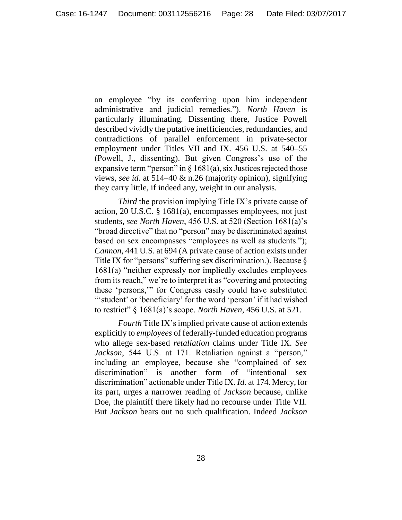an employee "by its conferring upon him independent administrative and judicial remedies."). *North Haven* is particularly illuminating. Dissenting there, Justice Powell described vividly the putative inefficiencies, redundancies, and contradictions of parallel enforcement in private-sector employment under Titles VII and IX. 456 U.S. at 540–55 (Powell, J., dissenting). But given Congress's use of the expansive term "person" in  $\S$  1681(a), six Justices rejected those views, *see id.* at 514–40 & n.26 (majority opinion), signifying they carry little, if indeed any, weight in our analysis.

*Third* the provision implying Title IX's private cause of action, 20 U.S.C. § 1681(a), encompasses employees, not just students, *see North Haven*, 456 U.S. at 520 (Section 1681(a)'s "broad directive" that no "person" may be discriminated against based on sex encompasses "employees as well as students."); *Cannon*, 441 U.S. at 694 (A private cause of action exists under Title IX for "persons" suffering sex discrimination.). Because § 1681(a) "neither expressly nor impliedly excludes employees from its reach," we're to interpret it as "covering and protecting these 'persons,'" for Congress easily could have substituted ""student' or 'beneficiary' for the word 'person' if it had wished to restrict" § 1681(a)'s scope. *North Haven*, 456 U.S. at 521.

*Fourth* Title IX's implied private cause of action extends explicitly to *employees* of federally-funded education programs who allege sex-based *retaliation* claims under Title IX. *See Jackson*, 544 U.S. at 171. Retaliation against a "person," including an employee, because she "complained of sex discrimination" is another form of "intentional sex discrimination" actionable under Title IX. *Id.* at 174. Mercy, for its part, urges a narrower reading of *Jackson* because, unlike Doe, the plaintiff there likely had no recourse under Title VII. But *Jackson* bears out no such qualification. Indeed *Jackson*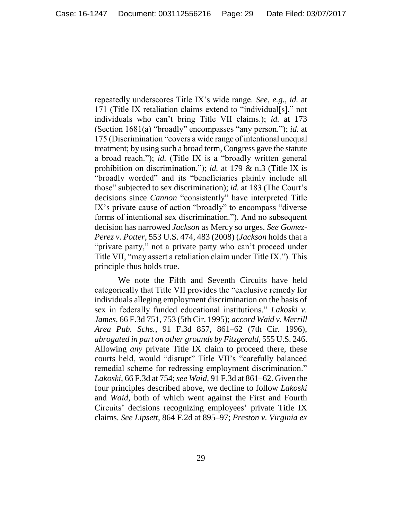repeatedly underscores Title IX's wide range. *See, e.g.*, *id.* at 171 (Title IX retaliation claims extend to "individual[s]," not individuals who can't bring Title VII claims.); *id.* at 173 (Section 1681(a) "broadly" encompasses "any person."); *id.* at 175 (Discrimination "covers a wide range of intentional unequal treatment; by using such a broad term, Congress gave the statute a broad reach."); *id.* (Title IX is a "broadly written general prohibition on discrimination."); *id.* at 179 & n.3 (Title IX is "broadly worded" and its "beneficiaries plainly include all those" subjected to sex discrimination); *id.* at 183 (The Court's decisions since *Cannon* "consistently" have interpreted Title IX's private cause of action "broadly" to encompass "diverse forms of intentional sex discrimination."). And no subsequent decision has narrowed *Jackson* as Mercy so urges. *See Gomez-Perez v. Potter*, 553 U.S. 474, 483 (2008) (*Jackson* holds that a "private party," not a private party who can't proceed under Title VII, "may assert a retaliation claim under Title IX."). This principle thus holds true.

We note the Fifth and Seventh Circuits have held categorically that Title VII provides the "exclusive remedy for individuals alleging employment discrimination on the basis of sex in federally funded educational institutions." *Lakoski v. James*, 66 F.3d 751, 753 (5th Cir. 1995); *accord Waid v. Merrill Area Pub. Schs.*, 91 F.3d 857, 861–62 (7th Cir. 1996), *abrogated in part on other grounds by Fitzgerald*, 555 U.S. 246. Allowing *any* private Title IX claim to proceed there, these courts held, would "disrupt" Title VII's "carefully balanced remedial scheme for redressing employment discrimination." *Lakoski*, 66 F.3d at 754; *see Waid*, 91 F.3d at 861–62. Given the four principles described above, we decline to follow *Lakoski* and *Waid*, both of which went against the First and Fourth Circuits' decisions recognizing employees' private Title IX claims. *See Lipsett*, 864 F.2d at 895–97; *Preston v. Virginia ex*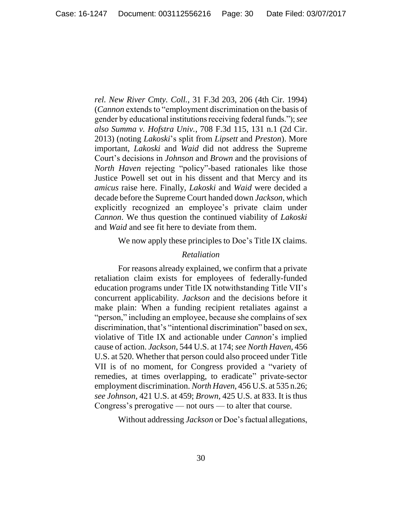*rel. New River Cmty. Coll.*, 31 F.3d 203, 206 (4th Cir. 1994) (*Cannon* extends to "employment discrimination on the basis of gender by educational institutions receiving federal funds."); *see also Summa v. Hofstra Univ.*, 708 F.3d 115, 131 n.1 (2d Cir. 2013) (noting *Lakoski*'s split from *Lipsett* and *Preston*). More important, *Lakoski* and *Waid* did not address the Supreme Court's decisions in *Johnson* and *Brown* and the provisions of *North Haven* rejecting "policy"-based rationales like those Justice Powell set out in his dissent and that Mercy and its *amicus* raise here. Finally, *Lakoski* and *Waid* were decided a decade before the Supreme Court handed down *Jackson*, which explicitly recognized an employee's private claim under *Cannon*. We thus question the continued viability of *Lakoski* and *Waid* and see fit here to deviate from them.

We now apply these principles to Doe's Title IX claims.

## *Retaliation*

For reasons already explained, we confirm that a private retaliation claim exists for employees of federally-funded education programs under Title IX notwithstanding Title VII's concurrent applicability. *Jackson* and the decisions before it make plain: When a funding recipient retaliates against a "person," including an employee, because she complains of sex discrimination, that's "intentional discrimination" based on sex, violative of Title IX and actionable under *Cannon*'s implied cause of action. *Jackson*, 544 U.S. at 174; *see North Haven*, 456 U.S. at 520. Whether that person could also proceed under Title VII is of no moment, for Congress provided a "variety of remedies, at times overlapping, to eradicate" private-sector employment discrimination. *North Haven*, 456 U.S. at 535 n.26; *see Johnson*, 421 U.S. at 459; *Brown*, 425 U.S. at 833. It is thus Congress's prerogative — not ours — to alter that course.

Without addressing *Jackson* or Doe's factual allegations,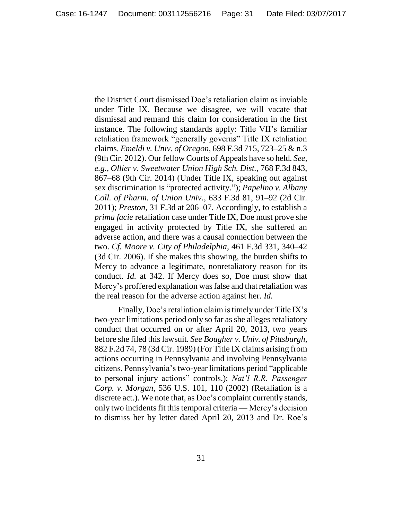the District Court dismissed Doe's retaliation claim as inviable under Title IX. Because we disagree, we will vacate that dismissal and remand this claim for consideration in the first instance. The following standards apply: Title VII's familiar retaliation framework "generally governs" Title IX retaliation claims. *Emeldi v. Univ. of Oregon*, 698 F.3d 715, 723–25 & n.3 (9th Cir. 2012). Our fellow Courts of Appeals have so held. *See, e.g.*, *Ollier v. Sweetwater Union High Sch. Dist.*, 768 F.3d 843, 867–68 (9th Cir. 2014) (Under Title IX, speaking out against sex discrimination is "protected activity."); *Papelino v. Albany Coll. of Pharm. of Union Univ.*, 633 F.3d 81, 91–92 (2d Cir. 2011); *Preston*, 31 F.3d at 206–07. Accordingly, to establish a *prima facie* retaliation case under Title IX, Doe must prove she engaged in activity protected by Title IX, she suffered an adverse action, and there was a causal connection between the two. *Cf. Moore v. City of Philadelphia*, 461 F.3d 331, 340–42 (3d Cir. 2006). If she makes this showing, the burden shifts to Mercy to advance a legitimate, nonretaliatory reason for its conduct. *Id.* at 342. If Mercy does so, Doe must show that Mercy's proffered explanation was false and that retaliation was the real reason for the adverse action against her. *Id.*

Finally, Doe's retaliation claim is timely under Title IX's two-year limitations period only so far as she alleges retaliatory conduct that occurred on or after April 20, 2013, two years before she filed this lawsuit. *See Bougher v. Univ. of Pittsburgh*, 882 F.2d 74, 78 (3d Cir. 1989) (For Title IX claims arising from actions occurring in Pennsylvania and involving Pennsylvania citizens, Pennsylvania's two-year limitations period "applicable to personal injury actions" controls.); *Nat'l R.R. Passenger Corp. v. Morgan*, 536 U.S. 101, 110 (2002) (Retaliation is a discrete act.). We note that, as Doe's complaint currently stands, only two incidents fit this temporal criteria — Mercy's decision to dismiss her by letter dated April 20, 2013 and Dr. Roe's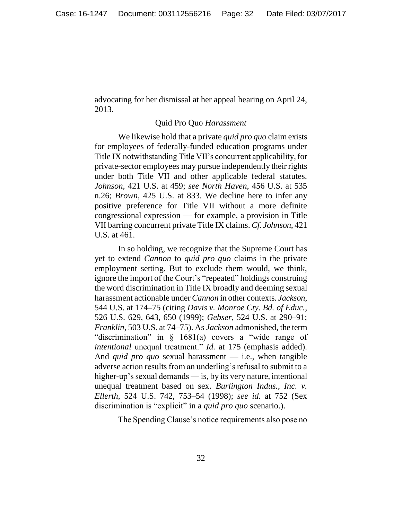advocating for her dismissal at her appeal hearing on April 24, 2013.

### Quid Pro Quo *Harassment*

We likewise hold that a private *quid pro quo* claim exists for employees of federally-funded education programs under Title IX notwithstanding Title VII's concurrent applicability, for private-sector employees may pursue independently their rights under both Title VII and other applicable federal statutes. *Johnson*, 421 U.S. at 459; *see North Haven*, 456 U.S. at 535 n.26; *Brown*, 425 U.S. at 833. We decline here to infer any positive preference for Title VII without a more definite congressional expression — for example, a provision in Title VII barring concurrent private Title IX claims. *Cf. Johnson*, 421 U.S. at 461.

In so holding, we recognize that the Supreme Court has yet to extend *Cannon* to *quid pro quo* claims in the private employment setting. But to exclude them would, we think, ignore the import of the Court's "repeated" holdings construing the word discrimination in Title IX broadly and deeming sexual harassment actionable under *Cannon* in other contexts. *Jackson*, 544 U.S. at 174–75 (citing *Davis v. Monroe Cty. Bd. of Educ.*, 526 U.S. 629, 643, 650 (1999); *Gebser*, 524 U.S. at 290–91; *Franklin*, 503 U.S. at 74–75). As *Jackson* admonished, the term "discrimination" in § 1681(a) covers a "wide range of *intentional* unequal treatment." *Id.* at 175 (emphasis added). And *quid pro quo* sexual harassment — i.e., when tangible adverse action results from an underling's refusal to submit to a higher-up's sexual demands — is, by its very nature, intentional unequal treatment based on sex. *Burlington Indus., Inc. v. Ellerth*, 524 U.S. 742, 753–54 (1998); *see id.* at 752 (Sex discrimination is "explicit" in a *quid pro quo* scenario.).

The Spending Clause's notice requirements also pose no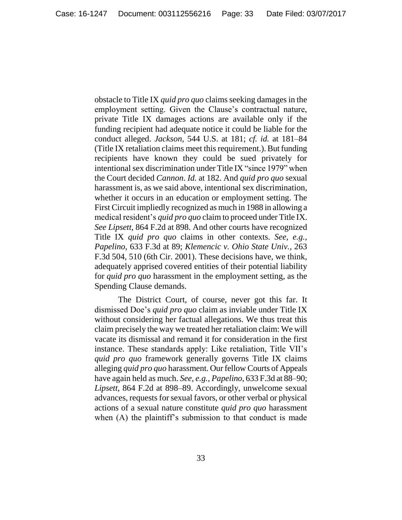obstacle to Title IX *quid pro quo* claims seeking damages in the employment setting. Given the Clause's contractual nature, private Title IX damages actions are available only if the funding recipient had adequate notice it could be liable for the conduct alleged. *Jackson*, 544 U.S. at 181; *cf. id.* at 181–84 (Title IX retaliation claims meet this requirement.). But funding recipients have known they could be sued privately for intentional sex discrimination under Title IX "since 1979" when the Court decided *Cannon*. *Id.* at 182. And *quid pro quo* sexual harassment is, as we said above, intentional sex discrimination, whether it occurs in an education or employment setting. The First Circuit impliedly recognized as much in 1988 in allowing a medical resident's *quid pro quo* claim to proceed under Title IX. *See Lipsett*, 864 F.2d at 898. And other courts have recognized Title IX *quid pro quo* claims in other contexts. *See, e.g.*, *Papelino*, 633 F.3d at 89; *Klemencic v. Ohio State Univ.*, 263 F.3d 504, 510 (6th Cir. 2001). These decisions have, we think, adequately apprised covered entities of their potential liability for *quid pro quo* harassment in the employment setting, as the Spending Clause demands.

The District Court, of course, never got this far. It dismissed Doe's *quid pro quo* claim as inviable under Title IX without considering her factual allegations. We thus treat this claim precisely the way we treated her retaliation claim: We will vacate its dismissal and remand it for consideration in the first instance. These standards apply: Like retaliation, Title VII's *quid pro quo* framework generally governs Title IX claims alleging *quid pro quo* harassment. Our fellow Courts of Appeals have again held as much. *See, e.g.*, *Papelino*, 633 F.3d at 88–90; *Lipsett*, 864 F.2d at 898–89. Accordingly, unwelcome sexual advances, requests for sexual favors, or other verbal or physical actions of a sexual nature constitute *quid pro quo* harassment when (A) the plaintiff's submission to that conduct is made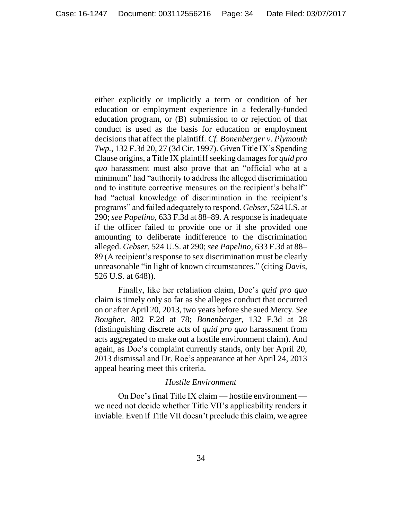either explicitly or implicitly a term or condition of her education or employment experience in a federally-funded education program, or (B) submission to or rejection of that conduct is used as the basis for education or employment decisions that affect the plaintiff. *Cf. Bonenberger v. Plymouth Twp.*, 132 F.3d 20, 27 (3d Cir. 1997). Given Title IX's Spending Clause origins, a Title IX plaintiff seeking damages for *quid pro quo* harassment must also prove that an "official who at a minimum" had "authority to address the alleged discrimination and to institute corrective measures on the recipient's behalf" had "actual knowledge of discrimination in the recipient's programs" and failed adequately to respond. *Gebser*, 524 U.S. at 290; *see Papelino*, 633 F.3d at 88–89. A response is inadequate if the officer failed to provide one or if she provided one amounting to deliberate indifference to the discrimination alleged. *Gebser*, 524 U.S. at 290; *see Papelino*, 633 F.3d at 88– 89 (A recipient's response to sex discrimination must be clearly unreasonable "in light of known circumstances." (citing *Davis*, 526 U.S. at 648)).

Finally, like her retaliation claim, Doe's *quid pro quo* claim is timely only so far as she alleges conduct that occurred on or after April 20, 2013, two years before she sued Mercy. *See Bougher*, 882 F.2d at 78; *Bonenberger*, 132 F.3d at 28 (distinguishing discrete acts of *quid pro quo* harassment from acts aggregated to make out a hostile environment claim). And again, as Doe's complaint currently stands, only her April 20, 2013 dismissal and Dr. Roe's appearance at her April 24, 2013 appeal hearing meet this criteria.

## *Hostile Environment*

On Doe's final Title IX claim — hostile environment we need not decide whether Title VII's applicability renders it inviable. Even if Title VII doesn't preclude this claim, we agree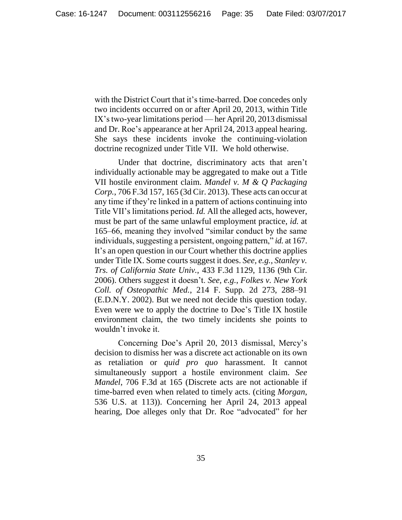with the District Court that it's time-barred. Doe concedes only two incidents occurred on or after April 20, 2013, within Title IX's two-year limitations period — her April 20, 2013 dismissal and Dr. Roe's appearance at her April 24, 2013 appeal hearing. She says these incidents invoke the continuing-violation doctrine recognized under Title VII. We hold otherwise.

Under that doctrine, discriminatory acts that aren't individually actionable may be aggregated to make out a Title VII hostile environment claim. *Mandel v. M & Q Packaging Corp.*, 706 F.3d 157, 165 (3d Cir. 2013). These acts can occur at any time if they're linked in a pattern of actions continuing into Title VII's limitations period. *Id.* All the alleged acts, however, must be part of the same unlawful employment practice, *id.* at 165–66, meaning they involved "similar conduct by the same individuals, suggesting a persistent, ongoing pattern," *id.* at 167. It's an open question in our Court whether this doctrine applies under Title IX. Some courts suggest it does. *See, e.g.*, *Stanley v. Trs. of California State Univ.*, 433 F.3d 1129, 1136 (9th Cir. 2006). Others suggest it doesn't. *See, e.g.*, *Folkes v. New York Coll. of Osteopathic Med.*, 214 F. Supp. 2d 273, 288–91 (E.D.N.Y. 2002). But we need not decide this question today. Even were we to apply the doctrine to Doe's Title IX hostile environment claim, the two timely incidents she points to wouldn't invoke it.

Concerning Doe's April 20, 2013 dismissal, Mercy's decision to dismiss her was a discrete act actionable on its own as retaliation or *quid pro quo* harassment. It cannot simultaneously support a hostile environment claim. *See Mandel*, 706 F.3d at 165 (Discrete acts are not actionable if time-barred even when related to timely acts. (citing *Morgan*, 536 U.S. at 113)). Concerning her April 24, 2013 appeal hearing, Doe alleges only that Dr. Roe "advocated" for her